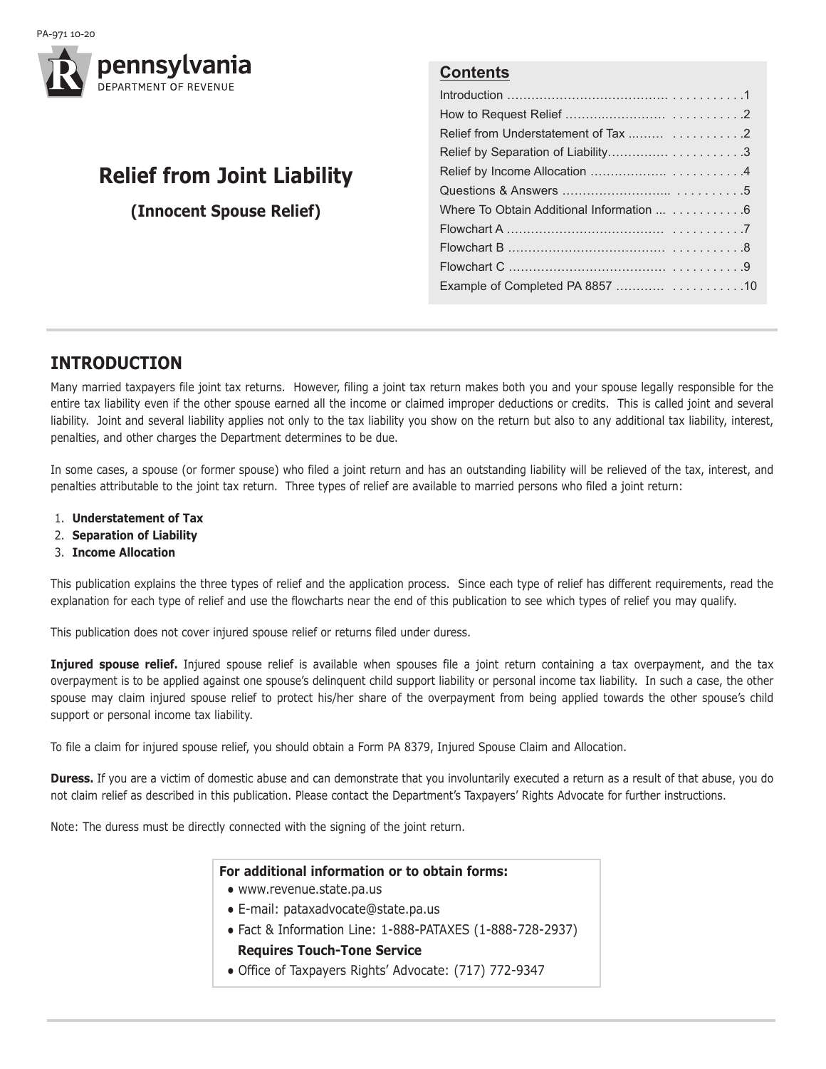



# **Relief from Joint Liability**

**(Innocent Spouse Relief)**

## **Contents**

| Where To Obtain Additional Information  6 |
|-------------------------------------------|
|                                           |
|                                           |
|                                           |
|                                           |

## **InTRoducTIon**

Many married taxpayers file joint tax returns. However, filing a joint tax return makes both you and your spouse legally responsible for the entire tax liability even if the other spouse earned all the income or claimed improper deductions or credits. This is called joint and several liability. Joint and several liability applies not only to the tax liability you show on the return but also to any additional tax liability, interest, penalties, and other charges the Department determines to be due.

In some cases, a spouse (or former spouse) who filed a joint return and has an outstanding liability will be relieved of the tax, interest, and penalties attributable to the joint tax return. Three types of relief are available to married persons who filed a joint return:

- 1. **understatement of Tax**
- 2. **Separation of Liability**
- 3. **Income Allocation**

This publication explains the three types of relief and the application process. Since each type of relief has different requirements, read the explanation for each type of relief and use the flowcharts near the end of this publication to see which types of relief you may qualify.

This publication does not cover injured spouse relief or returns filed under duress.

**Injured spouse relief.** Injured spouse relief is available when spouses file a joint return containing a tax overpayment, and the tax overpayment is to be applied against one spouse's delinquent child support liability or personal income tax liability. In such a case, the other spouse may claim injured spouse relief to protect his/her share of the overpayment from being applied towards the other spouse's child support or personal income tax liability.

To file a claim for injured spouse relief, you should obtain a Form PA 8379, Injured Spouse Claim and Allocation.

**Duress.** If you are a victim of domestic abuse and can demonstrate that you involuntarily executed a return as a result of that abuse, you do not claim relief as described in this publication. Please contact the Department's Taxpayers' Rights Advocate for further instructions.

Note: The duress must be directly connected with the signing of the joint return.

#### **For additional information or to obtain forms:**

- www.revenue.state.pa.us
- E-mail: pataxadvocate@state.pa.us
- Fact & Information Line: 1-888-PATAXES (1-888-728-2937) **Requires Touch-Tone Service**
- Office of Taxpayers Rights' Advocate: (717) 772-9347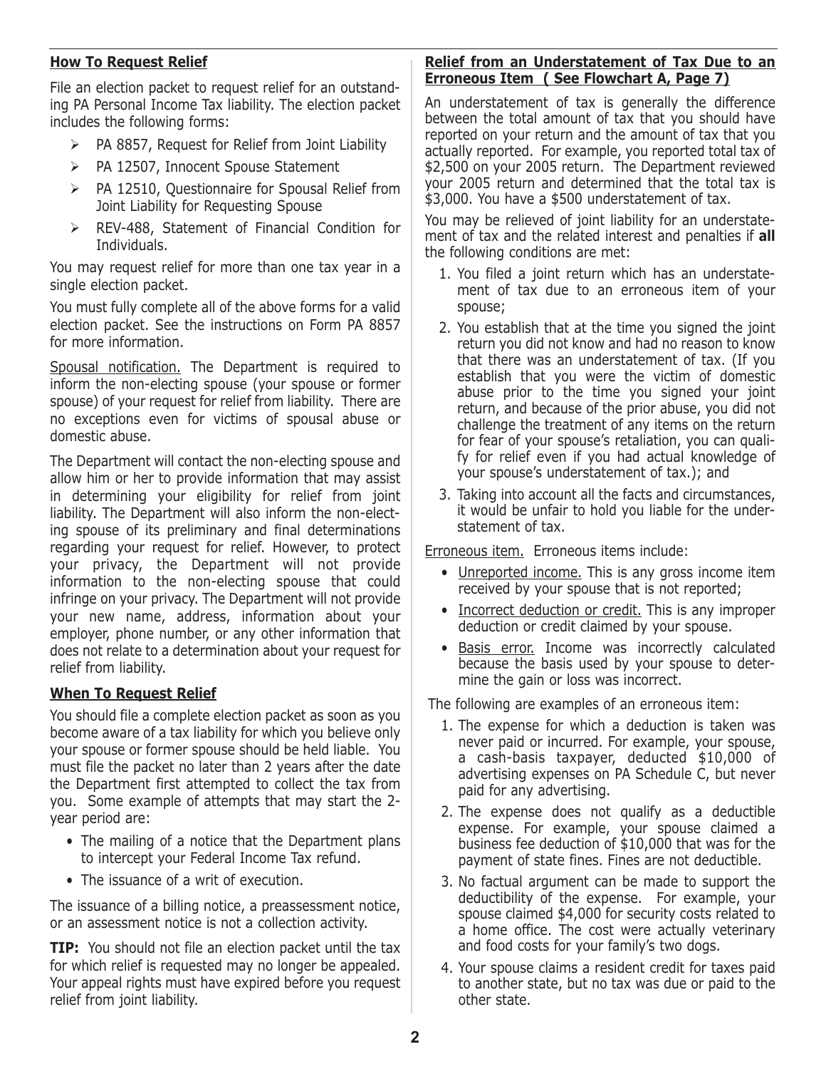### **How To Request Relief**

File an election packet to request relief for an outstanding PA Personal Income Tax liability. The election packet includes the following forms:

- $\triangleright$  PA 8857, Request for Relief from Joint Liability
- PA 12507, Innocent Spouse Statement
- PA 12510, Questionnaire for Spousal Relief from Joint Liability for Requesting Spouse
- REV-488, Statement of Financial Condition for Individuals.

You may request relief for more than one tax year in a single election packet.

You must fully complete all of the above forms for a valid election packet. See the instructions on Form PA 8857 for more information.

Spousal notification. The Department is required to inform the non-electing spouse (your spouse or former spouse) of your request for relief from liability. There are no exceptions even for victims of spousal abuse or domestic abuse.

The Department will contact the non-electing spouse and allow him or her to provide information that may assist in determining your eligibility for relief from joint liability. The Department will also inform the non-electing spouse of its preliminary and final determinations regarding your request for relief. However, to protect your privacy, the Department will not provide information to the non-electing spouse that could infringe on your privacy. The Department will not provide your new name, address, information about your employer, phone number, or any other information that does not relate to a determination about your request for relief from liability.

### **When To Request Relief**

You should file a complete election packet as soon as you become aware of a tax liability for which you believe only your spouse or former spouse should be held liable. You must file the packet no later than 2 years after the date the Department first attempted to collect the tax from you. Some example of attempts that may start the 2 year period are:

- The mailing of a notice that the Department plans to intercept your Federal Income Tax refund.
- The issuance of a writ of execution.

The issuance of a billing notice, a preassessment notice, or an assessment notice is not a collection activity.

**TIP:** You should not file an election packet until the tax for which relief is requested may no longer be appealed. Your appeal rights must have expired before you request relief from joint liability.

#### **Relief from an Understatement of Tax Due to an Erroneous Item ( See Flowchart A, Page 7)**

An understatement of tax is generally the difference between the total amount of tax that you should have reported on your return and the amount of tax that you actually reported. For example, you reported total tax of \$2,500 on your 2005 return. The Department reviewed your 2005 return and determined that the total tax is \$3,000. You have a \$500 understatement of tax.

You may be relieved of joint liability for an understatement of tax and the related interest and penalties if **all** the following conditions are met:

- 1. You filed a joint return which has an understatement of tax due to an erroneous item of your spouse;
- 2. You establish that at the time you signed the joint return you did not know and had no reason to know that there was an understatement of tax. (If you establish that you were the victim of domestic abuse prior to the time you signed your joint return, and because of the prior abuse, you did not challenge the treatment of any items on the return for fear of your spouse's retaliation, you can qualify for relief even if you had actual knowledge of your spouse's understatement of tax.); and
- 3. Taking into account all the facts and circumstances, it would be unfair to hold you liable for the understatement of tax.

Erroneous item. Erroneous items include:

- Unreported income. This is any gross income item received by your spouse that is not reported;
- Incorrect deduction or credit. This is any improper deduction or credit claimed by your spouse.
- Basis error. Income was incorrectly calculated because the basis used by your spouse to determine the gain or loss was incorrect.

The following are examples of an erroneous item:

- 1. The expense for which a deduction is taken was never paid or incurred. For example, your spouse, a cash-basis taxpayer, deducted \$10,000 of advertising expenses on PA Schedule C, but never paid for any advertising.
- 2. The expense does not qualify as a deductible expense. For example, your spouse claimed a business fee deduction of \$10,000 that was for the payment of state fines. Fines are not deductible.
- 3. No factual argument can be made to support the deductibility of the expense. For example, your spouse claimed \$4,000 for security costs related to a home office. The cost were actually veterinary and food costs for your family's two dogs.
- 4. Your spouse claims a resident credit for taxes paid to another state, but no tax was due or paid to the other state.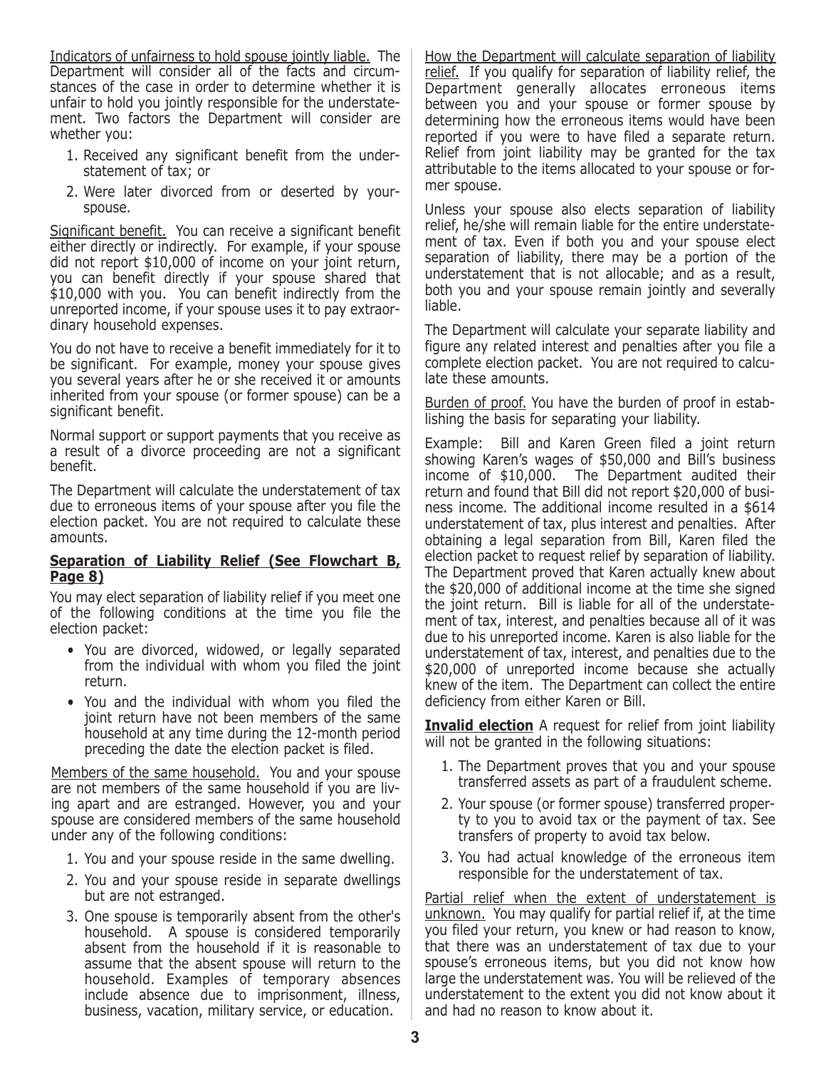Indicators of unfairness to hold spouse jointly liable. The Department will consider all of the facts and circumstances of the case in order to determine whether it is unfair to hold you jointly responsible for the understatement. Two factors the Department will consider are whether you:

- 1. Received any significant benefit from the understatement of tax; or
- 2. Were later divorced from or deserted by yourspouse.

Significant benefit. You can receive a significant benefit either directly or indirectly. For example, if your spouse did not report \$10,000 of income on your joint return, you can benefit directly if your spouse shared that \$10,000 with you. You can benefit indirectly from the unreported income, if your spouse uses it to pay extraordinary household expenses.

You do not have to receive a benefit immediately for it to be significant. For example, money your spouse gives you several years after he or she received it or amounts inherited from your spouse (or former spouse) can be a significant benefit.

Normal support or support payments that you receive as a result of a divorce proceeding are not a significant benefit.

The Department will calculate the understatement of tax due to erroneous items of your spouse after you file the election packet. You are not required to calculate these amounts.

#### **Separation of Liability Relief (See Flowchart B, Page 8)**

You may elect separation of liability relief if you meet one of the following conditions at the time you file the election packet:

- You are divorced, widowed, or legally separated from the individual with whom you filed the joint return.
- You and the individual with whom you filed the joint return have not been members of the same household at any time during the 12-month period preceding the date the election packet is filed.

Members of the same household. You and your spouse are not members of the same household if you are living apart and are estranged. However, you and your spouse are considered members of the same household under any of the following conditions:

- 1. You and your spouse reside in the same dwelling.
- 2. You and your spouse reside in separate dwellings but are not estranged.
- 3. One spouse is temporarily absent from the other's household. A spouse is considered temporarily absent from the household if it is reasonable to assume that the absent spouse will return to the household. Examples of temporary absences include absence due to imprisonment, illness, business, vacation, military service, or education.

How the Department will calculate separation of liability relief. If you qualify for separation of liability relief, the Department generally allocates erroneous items between you and your spouse or former spouse by determining how the erroneous items would have been reported if you were to have filed a separate return. Relief from joint liability may be granted for the tax attributable to the items allocated to your spouse or former spouse.

Unless your spouse also elects separation of liability relief, he/she will remain liable for the entire understatement of tax. Even if both you and your spouse elect separation of liability, there may be a portion of the understatement that is not allocable; and as a result, both you and your spouse remain jointly and severally liable.

The Department will calculate your separate liability and figure any related interest and penalties after you file a complete election packet. You are not required to calculate these amounts.

Burden of proof. You have the burden of proof in establishing the basis for separating your liability.

Example: Bill and Karen Green filed a joint return showing Karen's wages of \$50,000 and Bill's business income of \$10,000. The Department audited their return and found that Bill did not report \$20,000 of business income. The additional income resulted in a \$614 understatement of tax, plus interest and penalties. After obtaining a legal separation from Bill, Karen filed the election packet to request relief by separation of liability. The Department proved that Karen actually knew about the \$20,000 of additional income at the time she signed the joint return. Bill is liable for all of the understatement of tax, interest, and penalties because all of it was due to his unreported income. Karen is also liable for the understatement of tax, interest, and penalties due to the \$20,000 of unreported income because she actually knew of the item. The Department can collect the entire deficiency from either Karen or Bill.

**Invalid election** A request for relief from joint liability will not be granted in the following situations:

- 1. The Department proves that you and your spouse transferred assets as part of a fraudulent scheme.
- 2. Your spouse (or former spouse) transferred property to you to avoid tax or the payment of tax. See transfers of property to avoid tax below.
- 3. You had actual knowledge of the erroneous item responsible for the understatement of tax.

Partial relief when the extent of understatement is unknown. You may qualify for partial relief if, at the time you filed your return, you knew or had reason to know, that there was an understatement of tax due to your spouse's erroneous items, but you did not know how large the understatement was. You will be relieved of the understatement to the extent you did not know about it and had no reason to know about it.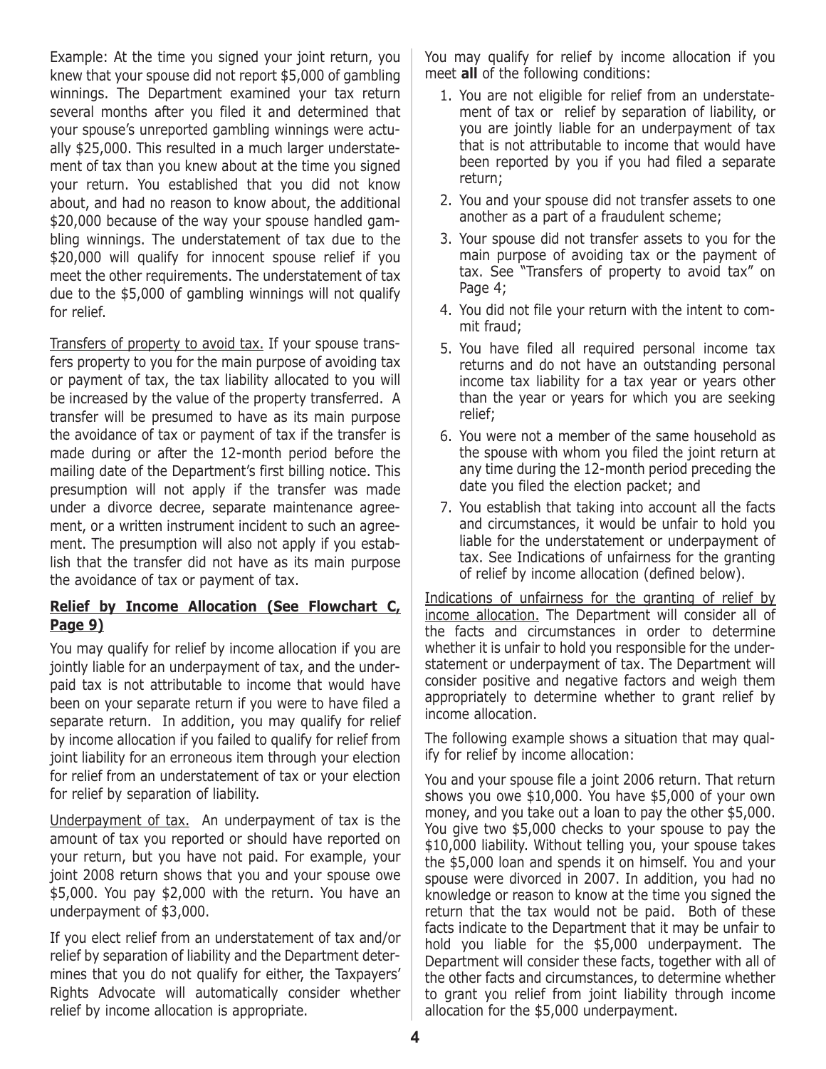Example: At the time you signed your joint return, you knew that your spouse did not report \$5,000 of gambling winnings. The Department examined your tax return several months after you filed it and determined that your spouse's unreported gambling winnings were actually \$25,000. This resulted in a much larger understatement of tax than you knew about at the time you signed your return. You established that you did not know about, and had no reason to know about, the additional \$20,000 because of the way your spouse handled gambling winnings. The understatement of tax due to the \$20,000 will qualify for innocent spouse relief if you meet the other requirements. The understatement of tax due to the \$5,000 of gambling winnings will not qualify for relief.

Transfers of property to avoid tax. If your spouse transfers property to you for the main purpose of avoiding tax or payment of tax, the tax liability allocated to you will be increased by the value of the property transferred. A transfer will be presumed to have as its main purpose the avoidance of tax or payment of tax if the transfer is made during or after the 12-month period before the mailing date of the Department's first billing notice. This presumption will not apply if the transfer was made under a divorce decree, separate maintenance agreement, or a written instrument incident to such an agreement. The presumption will also not apply if you establish that the transfer did not have as its main purpose the avoidance of tax or payment of tax.

### **Relief by Income Allocation (See Flowchart c, Page 9)**

You may qualify for relief by income allocation if you are jointly liable for an underpayment of tax, and the underpaid tax is not attributable to income that would have been on your separate return if you were to have filed a separate return. In addition, you may qualify for relief by income allocation if you failed to qualify for relief from joint liability for an erroneous item through your election for relief from an understatement of tax or your election for relief by separation of liability.

Underpayment of tax. An underpayment of tax is the amount of tax you reported or should have reported on your return, but you have not paid. For example, your joint 2008 return shows that you and your spouse owe \$5,000. You pay \$2,000 with the return. You have an underpayment of \$3,000.

If you elect relief from an understatement of tax and/or relief by separation of liability and the Department determines that you do not qualify for either, the Taxpayers' Rights Advocate will automatically consider whether relief by income allocation is appropriate.

You may qualify for relief by income allocation if you meet **all** of the following conditions:

- 1. You are not eligible for relief from an understatement of tax or relief by separation of liability, or you are jointly liable for an underpayment of tax that is not attributable to income that would have been reported by you if you had filed a separate return;
- 2. You and your spouse did not transfer assets to one another as a part of a fraudulent scheme;
- 3. Your spouse did not transfer assets to you for the main purpose of avoiding tax or the payment of tax. See "Transfers of property to avoid tax" on Page 4;
- 4. You did not file your return with the intent to commit fraud;
- 5. You have filed all required personal income tax returns and do not have an outstanding personal income tax liability for a tax year or years other than the year or years for which you are seeking relief;
- 6. You were not a member of the same household as the spouse with whom you filed the joint return at any time during the 12-month period preceding the date you filed the election packet; and
- 7. You establish that taking into account all the facts and circumstances, it would be unfair to hold you liable for the understatement or underpayment of tax. See Indications of unfairness for the granting of relief by income allocation (defined below).

Indications of unfairness for the granting of relief by income allocation. The Department will consider all of the facts and circumstances in order to determine whether it is unfair to hold you responsible for the understatement or underpayment of tax. The Department will consider positive and negative factors and weigh them appropriately to determine whether to grant relief by income allocation.

The following example shows a situation that may qualify for relief by income allocation:

You and your spouse file a joint 2006 return. That return shows you owe \$10,000. You have \$5,000 of your own money, and you take out a loan to pay the other \$5,000. You give two \$5,000 checks to your spouse to pay the \$10,000 liability. Without telling you, your spouse takes the \$5,000 loan and spends it on himself. You and your spouse were divorced in 2007. In addition, you had no knowledge or reason to know at the time you signed the return that the tax would not be paid. Both of these facts indicate to the Department that it may be unfair to hold you liable for the \$5,000 underpayment. The Department will consider these facts, together with all of the other facts and circumstances, to determine whether to grant you relief from joint liability through income allocation for the \$5,000 underpayment.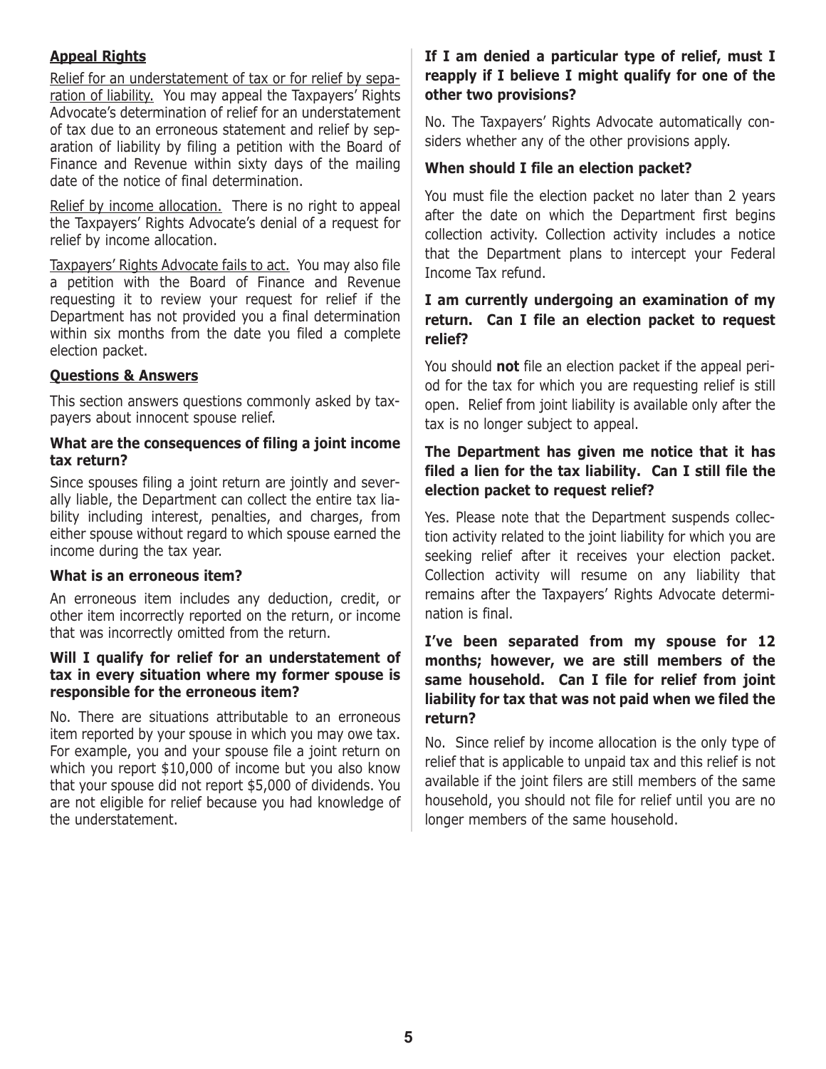### **Appeal Rights**

Relief for an understatement of tax or for relief by separation of liability. You may appeal the Taxpayers' Rights Advocate's determination of relief for an understatement of tax due to an erroneous statement and relief by separation of liability by filing a petition with the Board of Finance and Revenue within sixty days of the mailing date of the notice of final determination.

Relief by income allocation. There is no right to appeal the Taxpayers' Rights Advocate's denial of a request for relief by income allocation.

Taxpayers' Rights Advocate fails to act. You may also file a petition with the Board of Finance and Revenue requesting it to review your request for relief if the Department has not provided you a final determination within six months from the date you filed a complete election packet.

#### **Questions & Answers**

This section answers questions commonly asked by taxpayers about innocent spouse relief.

#### **What are the consequences of filing a joint income tax return?**

Since spouses filing a joint return are jointly and severally liable, the Department can collect the entire tax liability including interest, penalties, and charges, from either spouse without regard to which spouse earned the income during the tax year.

#### **What is an erroneous item?**

An erroneous item includes any deduction, credit, or other item incorrectly reported on the return, or income that was incorrectly omitted from the return.

#### **Will I qualify for relief for an understatement of tax in every situation where my former spouse is responsible for the erroneous item?**

No. There are situations attributable to an erroneous item reported by your spouse in which you may owe tax. For example, you and your spouse file a joint return on which you report \$10,000 of income but you also know that your spouse did not report \$5,000 of dividends. You are not eligible for relief because you had knowledge of the understatement.

## **If I am denied a particular type of relief, must I reapply if I believe I might qualify for one of the other two provisions?**

No. The Taxpayers' Rights Advocate automatically considers whether any of the other provisions apply.

## **When should I file an election packet?**

You must file the election packet no later than 2 years after the date on which the Department first begins collection activity. Collection activity includes a notice that the Department plans to intercept your Federal Income Tax refund.

### **I am currently undergoing an examination of my return. can I file an election packet to request relief?**

You should **not** file an election packet if the appeal period for the tax for which you are requesting relief is still open. Relief from joint liability is available only after the tax is no longer subject to appeal.

### The Department has given me notice that it has **filed a lien for the tax liability. can I still file the election packet to request relief?**

Yes. Please note that the Department suspends collection activity related to the joint liability for which you are seeking relief after it receives your election packet. Collection activity will resume on any liability that remains after the Taxpayers' Rights Advocate determination is final.

### **I've been separated from my spouse for 12 months; however, we are still members of the same household. can I file for relief from joint liability for tax that was not paid when we filed the return?**

No. Since relief by income allocation is the only type of relief that is applicable to unpaid tax and this relief is not available if the joint filers are still members of the same household, you should not file for relief until you are no longer members of the same household.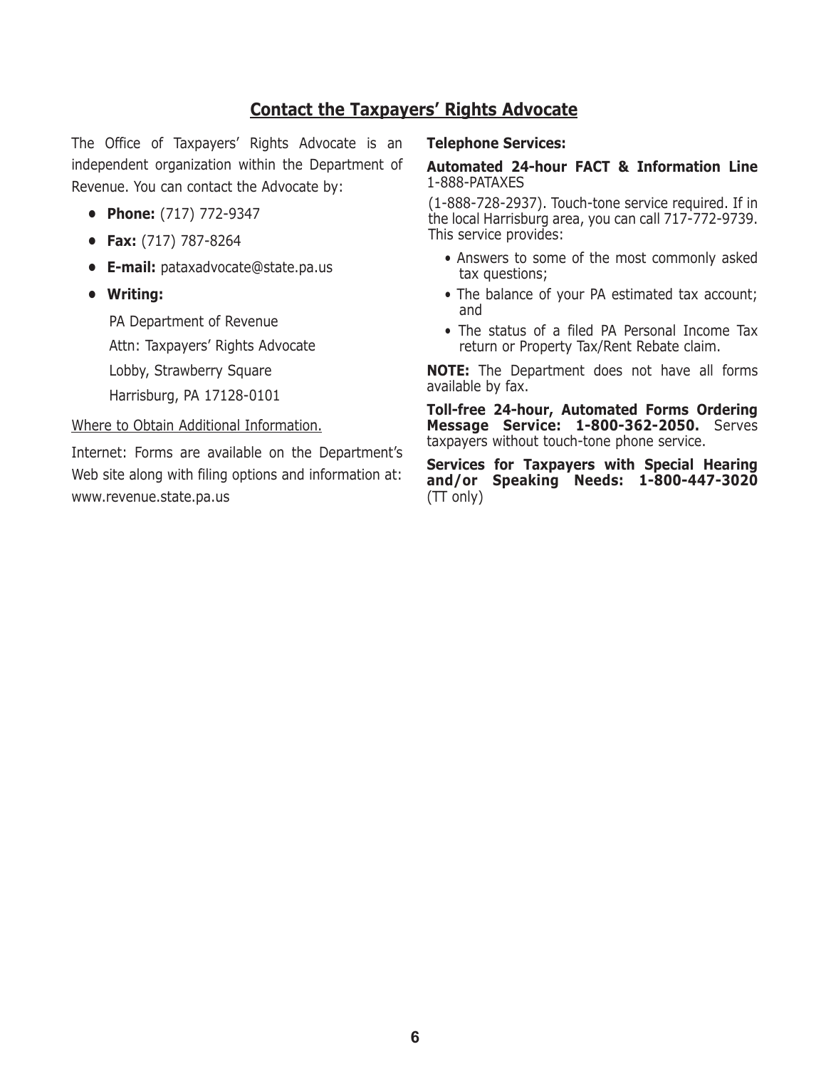## **contact the Taxpayers' Rights Advocate**

The Office of Taxpayers' Rights Advocate is an independent organization within the Department of Revenue. You can contact the Advocate by:

- **• Phone:** (717) 772-9347
- **• Fax:** (717) 787-8264
- **• E-mail:** pataxadvocate@state.pa.us
- **• Writing:**

PA Department of Revenue Attn: Taxpayers' Rights Advocate Lobby, Strawberry Square Harrisburg, PA 17128-0101

#### Where to Obtain Additional Information.

Internet: Forms are available on the Department's Web site along with filing options and information at: www.revenue.state.pa.us

#### **Telephone Services:**

#### **Automated 24-hour FAcT & Information Line**  1-888-PATAXES

(1-888-728-2937). Touch-tone service required. If in the local Harrisburg area, you can call 717-772-9739. This service provides:

- Answers to some of the most commonly asked tax questions;
- The balance of your PA estimated tax account; and
- The status of a filed PA Personal Income Tax return or Property Tax/Rent Rebate claim.

**noTE:** The Department does not have all forms available by fax.

**Toll-free 24-hour, Automated Forms ordering Message Service: 1-800-362-2050.** Serves taxpayers without touch-tone phone service.

**Services for Taxpayers with Special Hearing and/or Speaking needs: 1-800-447-3020** (TT only)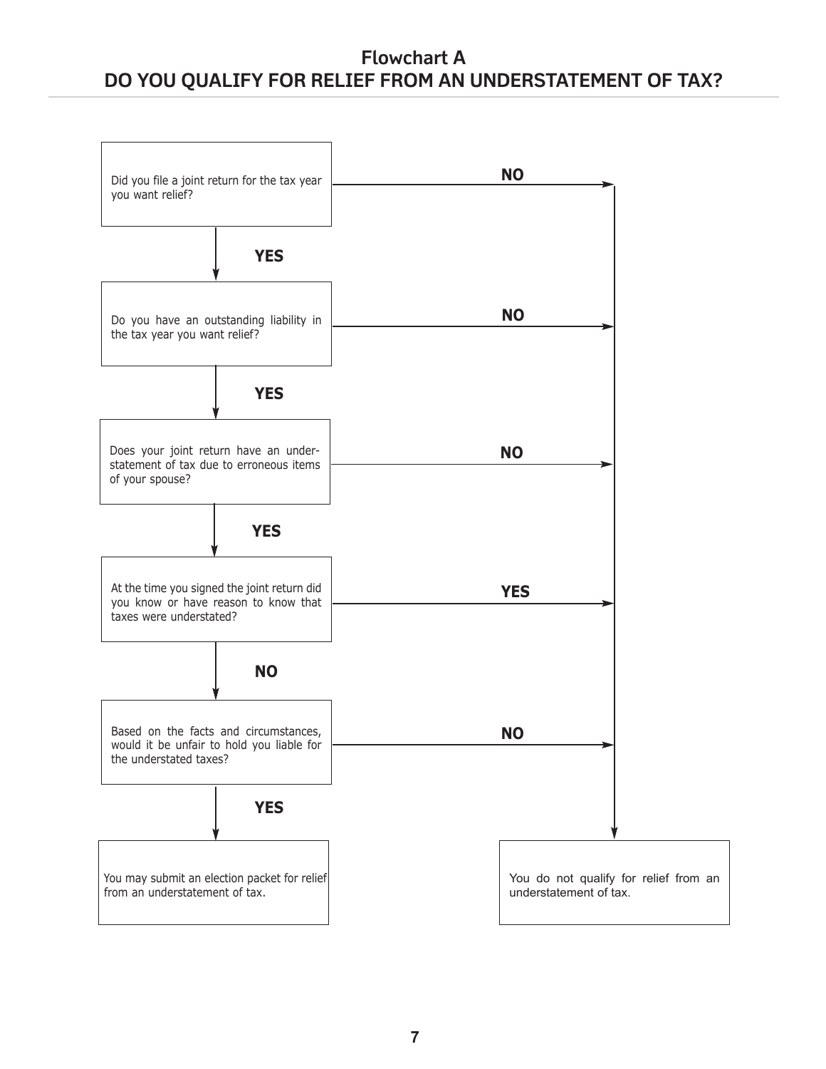## **Flowchart A DO YOU QUALIFY FOR RELIEF FROM AN UNDERSTATEMENT OF TAX?**

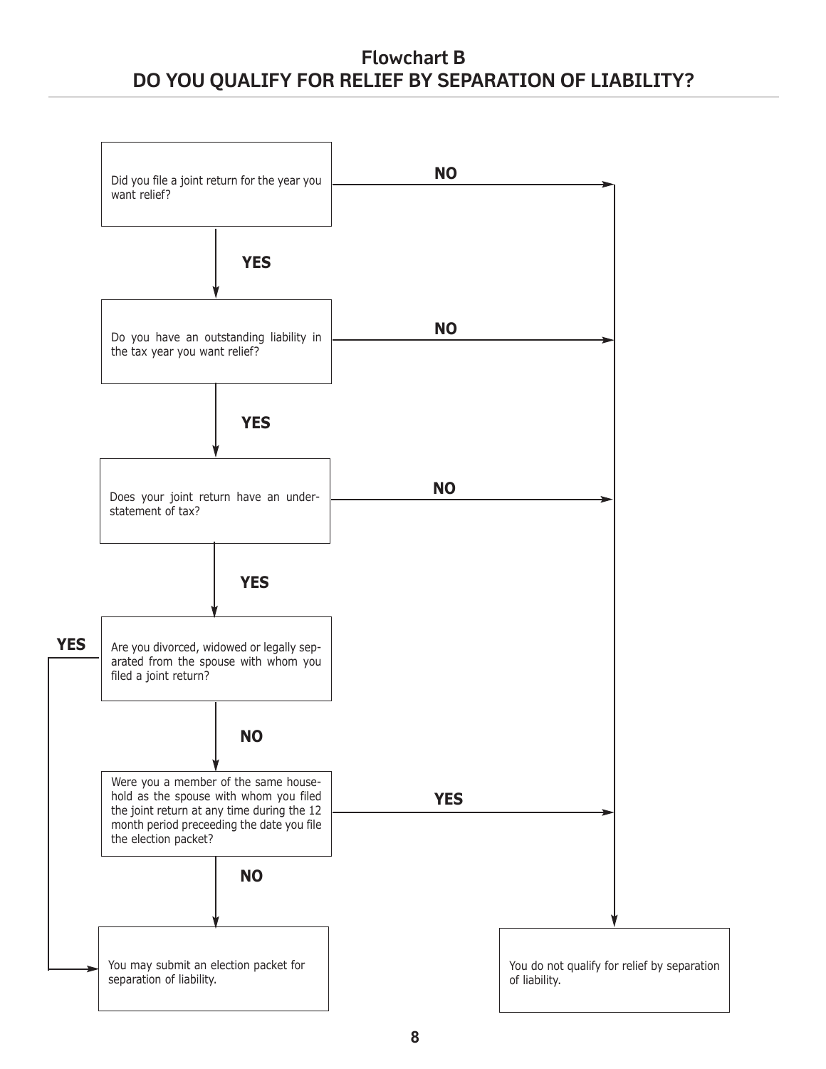## **Flowchart B DO YOU QUALIFY FOR RELIEF BY SEPARATION OF LIABILITY?**

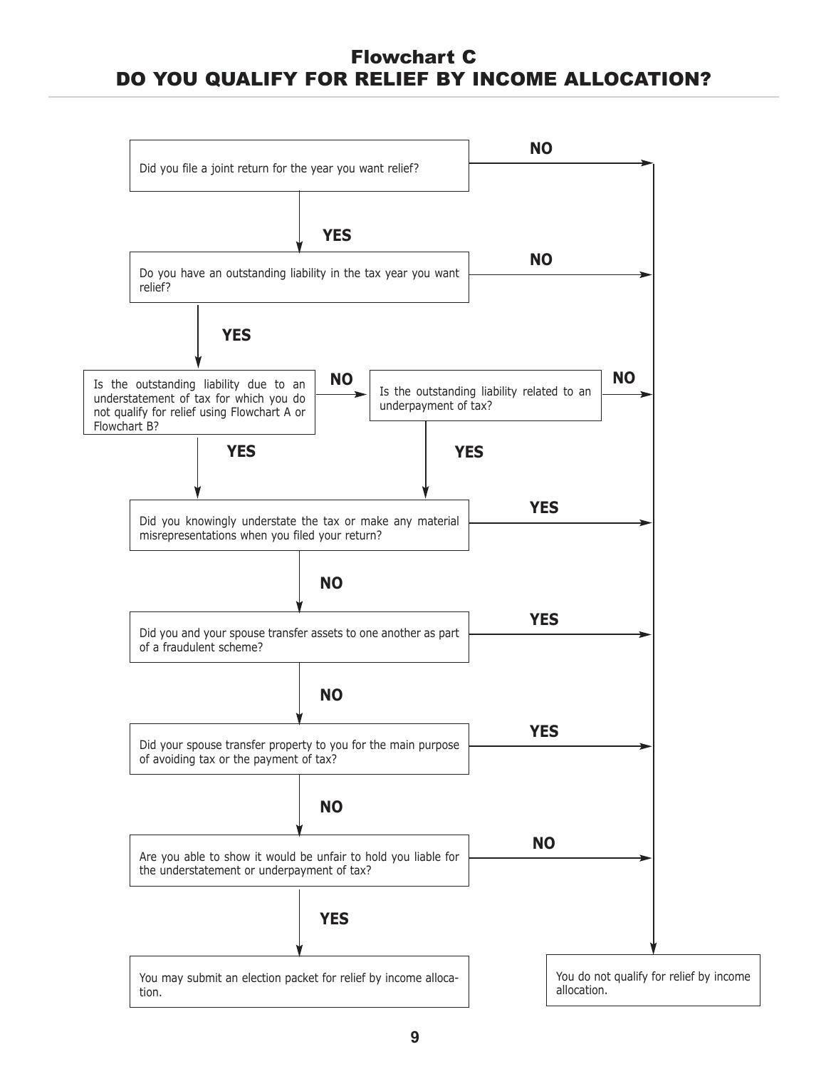## Flowchart C DO YOU QUALIFY FOR RELIEF BY INCOME ALLOCATION?

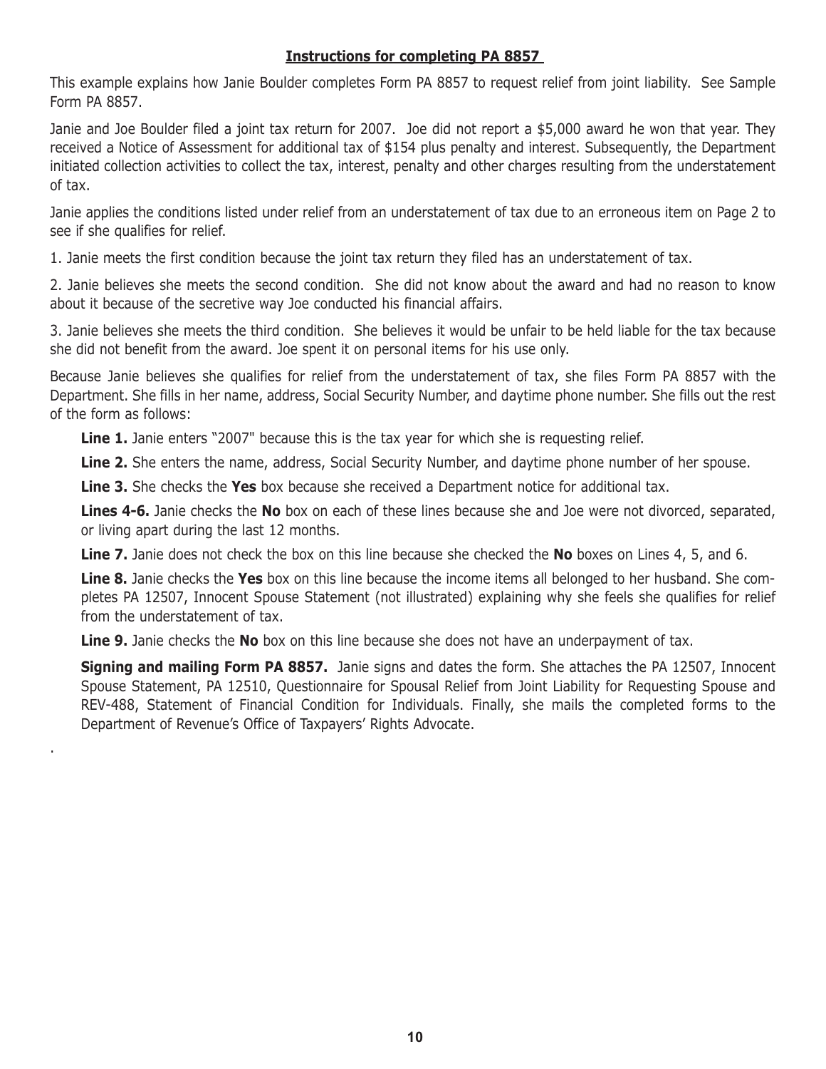### **Instructions for completing PA 8857**

This example explains how Janie Boulder completes Form PA 8857 to request relief from joint liability. See Sample Form PA 8857.

Janie and Joe Boulder filed a joint tax return for 2007. Joe did not report a \$5,000 award he won that year. They received a Notice of Assessment for additional tax of \$154 plus penalty and interest. Subsequently, the Department initiated collection activities to collect the tax, interest, penalty and other charges resulting from the understatement of tax.

Janie applies the conditions listed under relief from an understatement of tax due to an erroneous item on Page 2 to see if she qualifies for relief.

1. Janie meets the first condition because the joint tax return they filed has an understatement of tax.

2. Janie believes she meets the second condition. She did not know about the award and had no reason to know about it because of the secretive way Joe conducted his financial affairs.

3. Janie believes she meets the third condition. She believes it would be unfair to be held liable for the tax because she did not benefit from the award. Joe spent it on personal items for his use only.

Because Janie believes she qualifies for relief from the understatement of tax, she files Form PA 8857 with the Department. She fills in her name, address, Social Security Number, and daytime phone number. She fills out the rest of the form as follows:

Line 1. Janie enters "2007" because this is the tax year for which she is requesting relief.

**Line 2.** She enters the name, address, Social Security Number, and daytime phone number of her spouse.

**Line 3.** She checks the **Yes** box because she received a Department notice for additional tax.

**Lines 4-6.** Janie checks the **no** box on each of these lines because she and Joe were not divorced, separated, or living apart during the last 12 months.

**Line 7.** Janie does not check the box on this line because she checked the **no** boxes on Lines 4, 5, and 6.

**Line 8.** Janie checks the **Yes** box on this line because the income items all belonged to her husband. She completes PA 12507, Innocent Spouse Statement (not illustrated) explaining why she feels she qualifies for relief from the understatement of tax.

**Line 9.** Janie checks the **No** box on this line because she does not have an underpayment of tax.

.

**Signing and mailing Form PA 8857.** Janie signs and dates the form. She attaches the PA 12507, Innocent Spouse Statement, PA 12510, Questionnaire for Spousal Relief from Joint Liability for Requesting Spouse and REV-488, Statement of Financial Condition for Individuals. Finally, she mails the completed forms to the Department of Revenue's Office of Taxpayers' Rights Advocate.